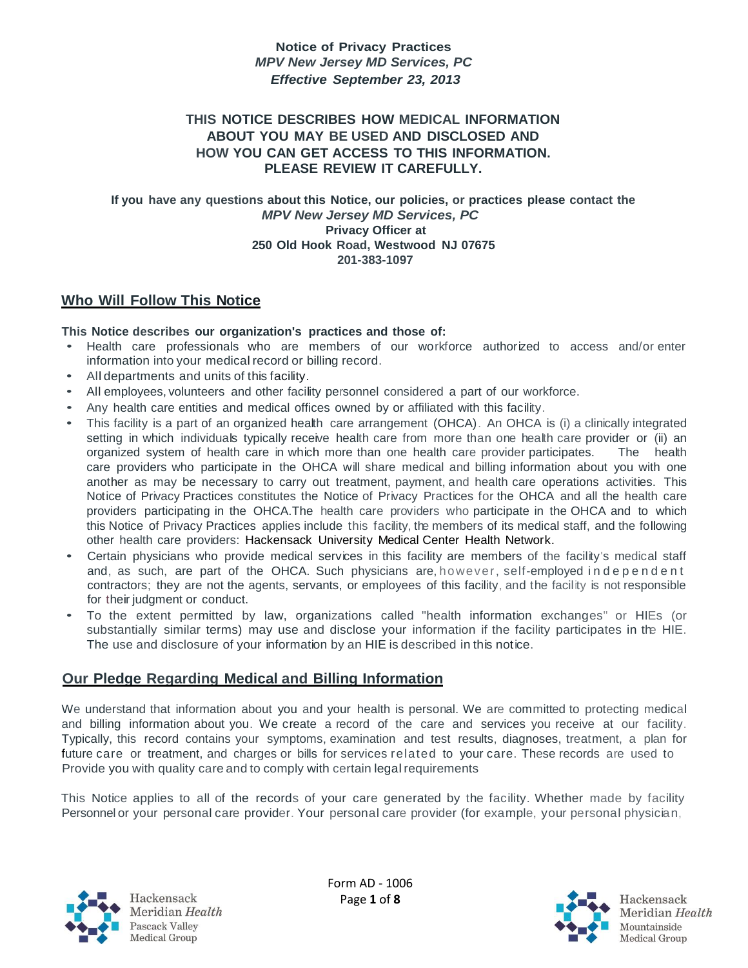#### **THIS NOTICE DESCRIBES HOW MEDICAL INFORMATION ABOUT YOU MAY BE USED AND DISCLOSED AND HOW YOU CAN GET ACCESS TO THIS INFORMATION. PLEASE REVIEW IT CAREFULLY.**

**If you have any questions about this Notice, our policies, or practices please contact the** *MPV New Jersey MD Services, PC* **Privacy Officer at 250 Old Hook Road, Westwood NJ 07675 201-383-1097**

# **Who Will Follow This Notice**

#### **This Notice describes our organization's practices and those of:**

- Health care professionals who are members of our workforce authorized to access and/or enter information into your medical record or billing record.
- All departments and units of this facility.
- All employees, volunteers and other facility personnel considered a part of our workforce.
- Any health care entities and medical offices owned by or affiliated with this facility.
- This facility is a part of an organized health care arrangement (OHCA). An OHCA is (i) a clinically integrated setting in which individuals typically receive health care from more than one health care provider or (ii) an organized system of health care in which more than one health care provider participates. The health care providers who participate in the OHCA will share medical and billing information about you with one another as may be necessary to carry out treatment, payment, and health care operations activities. This Notice of Privacy Practices constitutes the Notice of Privacy Practices for the OHCA and all the health care providers participating in the OHCA. The health care providers who participate in the OHCA and to which this Notice of Privacy Practices applies include this facility, the members of its medical staff, and the following other health care providers: Hackensack University Medical Center Health Network.
- Certain physicians who provide medical services in this facility are members of the facility's medical staff and, as such, are part of the OHCA. Such physicians are, however, self-employed in dependent contractors; they are not the agents, servants, or employees of this facility, and the facility is not responsible for their judgment or conduct.
- To the extent permitted by law, organizations called "health information exchanges" or HIEs (or substantially similar terms) may use and disclose your information if the facility participates in the HIE. The use and disclosure of your information by an HIE is described in this notice.

## **Our Pledge Regarding Medical and Billing Information**

We understand that information about you and your health is personal. We are committed to protecting medical and billing information about you. We create a record of the care and services you receive at our facility. Typically, this record contains your symptoms, examination and test results, diagnoses, treatment, a plan for future care or treatment, and charges or bills for services related to your care. These records are used to Provide you with quality care and to comply with certain legal requirements

This Notice applies to all of the records of your care generated by the facility. Whether made by facility Personnel or your personal care provider. Your personal care provider (for example, your personal physician,



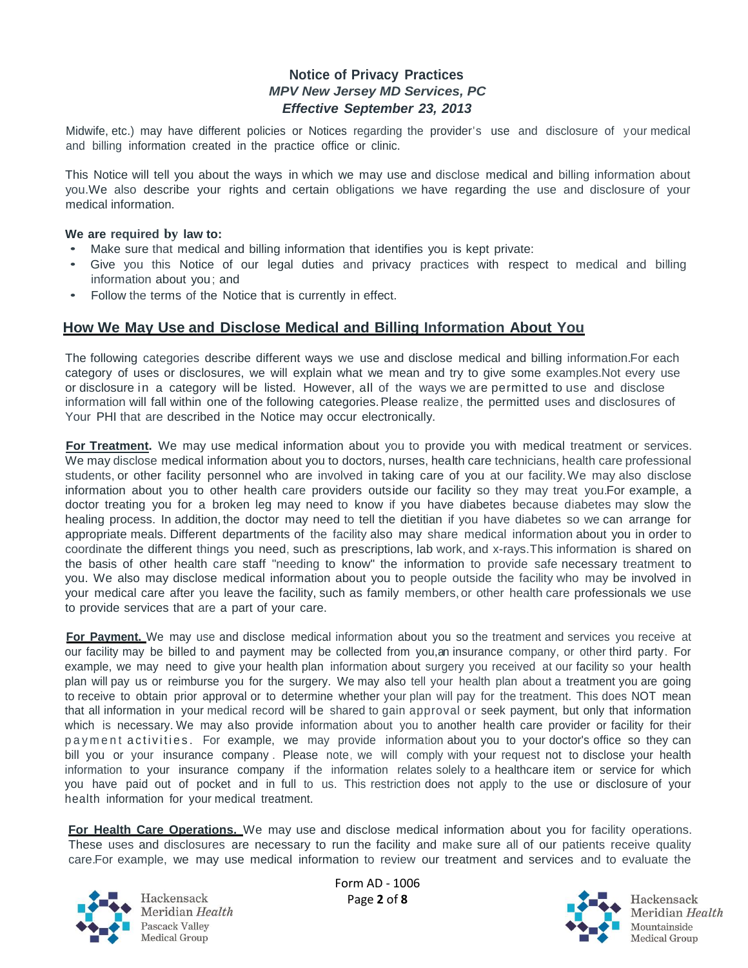Midwife, etc.) may have different policies or Notices regarding the provider's use and disclosure of your medical and billing information created in the practice office or clinic.

This Notice will tell you about the ways in which we may use and disclose medical and billing information about you. We also describe your rights and certain obligations we have regarding the use and disclosure of your medical information.

#### **We are required by law to:**

- Make sure that medical and billing information that identifies you is kept private:
- Give you this Notice of our legal duties and privacy practices with respect to medical and billing information about you; and
- Follow the terms of the Notice that is currently in effect.

#### **How We May Use and Disclose Medical and Billing Information About You**

The following categories describe different ways we use and disclose medical and billing information. For each category of uses or disclosures, we will explain what we mean and try to give some examples. Not every use or disclosure in a category will be listed. However, all of the ways we are permitted to use and disclose information will fall within one of the following categories. Please realize, the permitted uses and disclosures of Your PHI that are described in the Notice may occur electronically.

**For Treatment.** We may use medical information about you to provide you with medical treatment or services. We may disclose medical information about you to doctors, nurses, health care technicians, health care professional students, or other facility personnel who are involved in taking care of you at our facility. We may also disclose information about you to other health care providers outside our facility so they may treat you. For example, a doctor treating you for a broken leg may need to know if you have diabetes because diabetes may slow the healing process. In addition, the doctor may need to tell the dietitian if you have diabetes so we can arrange for appropriate meals. Different departments of the facility also may share medical information about you in order to coordinate the different things you need, such as prescriptions, lab work, and x-rays. This information is shared on the basis of other health care staff "needing to know" the information to provide safe necessary treatment to you. We also may disclose medical information about you to people outside the facility who may be involved in your medical care after you leave the facility, such as family members, or other health care professionals we use to provide services that are a part of your care.

**For Payment.** We may use and disclose medical information about you so the treatment and services you receive at our facility may be billed to and payment may be collected from you, an insurance company, or other third party. For example, we may need to give your health plan information about surgery you received at our facility so your health plan will pay us or reimburse you for the surgery. We may also tell your health plan about a treatment you are going to receive to obtain prior approval or to determine whether your plan will pay for the treatment. This does NOT mean that all information in your medical record will be shared to gain approval or seek payment, but only that information which is necessary. We may also provide information about you to another health care provider or facility for their payment activities. For example, we may provide information about you to your doctor's office so they can bill you or your insurance company . Please note, we will comply with your request not to disclose your health information to your insurance company if the information relates solely to a healthcare item or service for which you have paid out of pocket and in full to us. This restriction does not apply to the use or disclosure of your health information for your medical treatment.

**For Health Care Operations.** We may use and disclose medical information about you for facility operations. These uses and disclosures are necessary to run the facility and make sure all of our patients receive quality care. For example, we may use medical information to review our treatment and services and to evaluate the



Hackensack Meridian Health **Pascack Valley** Medical Group

Form AD - 1006 Page **2** of **8**

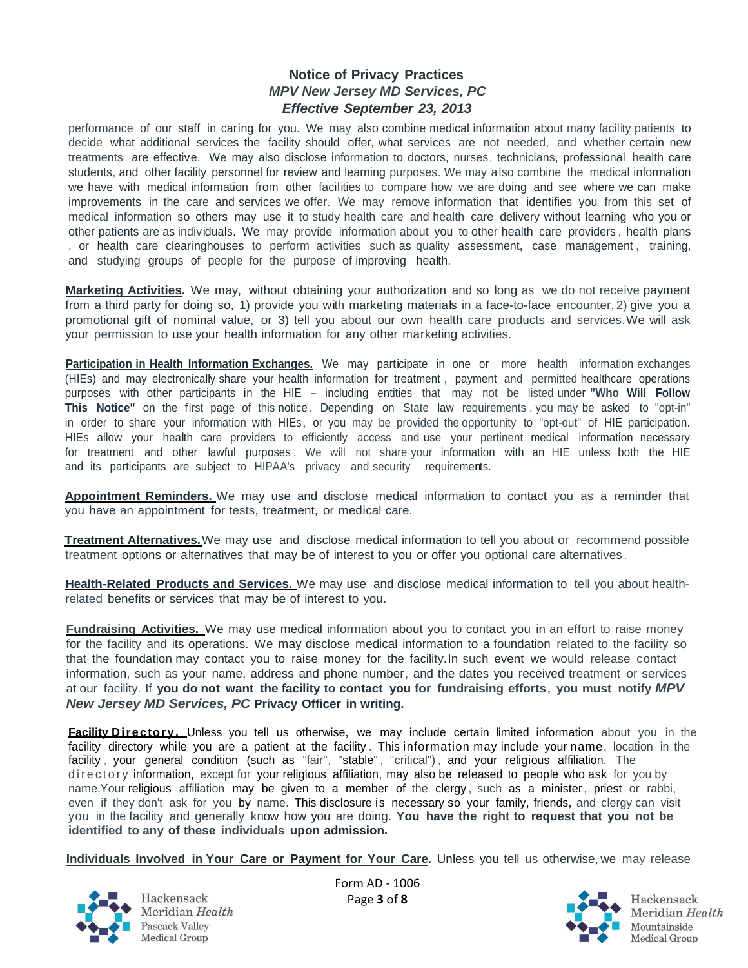performance of our staff in caring for you. We may also combine medical information about many facility patients to decide what additional services the facility should offer, what services are not needed, and whether certain new treatments are effective. We may also disclose information to doctors, nurses, technicians, professional health care students, and other facility personnel for review and learning purposes. We may also combine the medical information we have with medical information from other facilities to compare how we are doing and see where we can make improvements in the care and services we offer. We may remove information that identifies you from this set of medical information so others may use it to study health care and health care delivery without learning who you or other patients are as individuals. We may provide information about you to other health care providers , health plans , or health care clearinghouses to perform activities such as quality assessment, case management , training, and studying groups of people for the purpose of improving health.

**Marketing Activities.** We may, without obtaining your authorization and so long as we do not receive payment from a third party for doing so, 1) provide you with marketing materials in a face-to-face encounter, 2) give you a promotional gift of nominal value, or 3) tell you about our own health care products and services. We will ask your permission to use your health information for any other marketing activities.

**Participation in Health Information Exchanges.** We may participate in one or more health information exchanges (HIEs) and may electronically share your health information for treatment , payment and permitted healthcare operations purposes with other participants in the HIE - including entities that may not be listed under **"Who Will Follow This Notice"** on the first page of this notice. Depending on State law requirements , you may be asked to "opt-in" in order to share your information with HIEs, or you may be provided the opportunity to "opt-out" of HIE participation. HIEs allow your health care providers to efficiently access and use your pertinent medical information necessary for treatment and other lawful purposes. We will not share your information with an HIE unless both the HIE and its participants are subject to HIPAA's privacy and security requirements.

**Appointment Reminders.** We may use and disclose medical information to contact you as a reminder that you have an appointment for tests, treatment, or medical care.

**Treatment Alternatives.** We may use and disclose medical information to tell you about or recommend possible treatment options or alternatives that may be of interest to you or offer you optional care alternatives .

**Health-Related Products and Services.** We may use and disclose medical information to tell you about healthrelated benefits or services that may be of interest to you.

**Fundraising Activities.** We may use medical information about you to contact you in an effort to raise money for the facility and its operations. We may disclose medical information to a foundation related to the facility so that the foundation may contact you to raise money for the facility. In such event we would release contact information, such as your name, address and phone number, and the dates you received treatment or services at our facility. If **you do not want the facility to contact you for fundraising efforts, you must notify** *MPV New Jersey MD Services, PC* **Privacy Officer in writing.**

**Facility Directory.** Unless you tell us otherwise, we may include certain limited information about you in the facility directory while you are a patient at the facility . This information may include your name. location in the facility, your general condition (such as "fair", "stable", "critical"), and your religious affiliation. The di rectory information, except for your religious affiliation, may also be released to people who ask for you by name. Your religious affiliation may be given to a member of the clergy , such as a minister, priest or rabbi, even if they don't ask for you by name. This disclosure is necessary so your family, friends, and clergy can visit you in the facility and generally know how you are doing. **You have the right to request that you not be identified to any of these individuals upon admission.**

**Individuals Involved in Your Care or Payment for Your Care.** Unless you tell us otherwise, we may release



Hackensack Meridian Health Pascack Valley Medical Group

Form AD - 1006 Page **3** of **8**

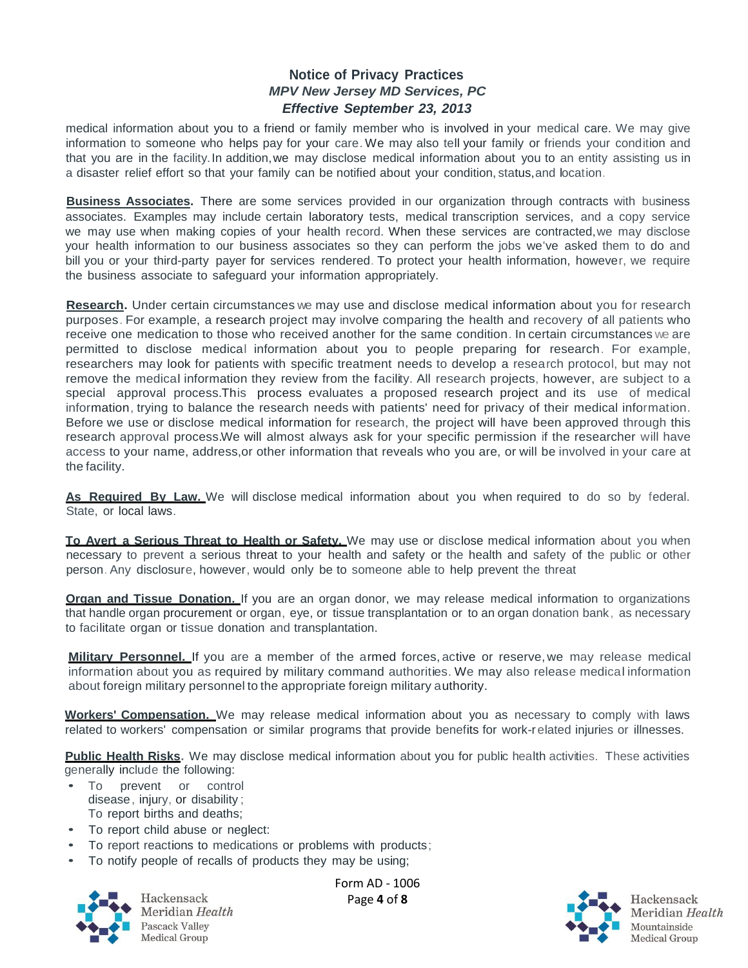medical information about you to a friend or family member who is involved in your medical care. We may give information to someone who helps pay for your care. We may also tell your family or friends your condition and that you are in the facility. In addition,we may disclose medical information about you to an entity assisting us in a disaster relief effort so that your family can be notified about your condition, status,and location.

**Business Associates.** There are some services provided in our organization through contracts with business associates. Examples may include certain laboratory tests, medical transcription services, and a copy service we may use when making copies of your health record. When these services are contracted,we may disclose your health information to our business associates so they can perform the jobs we've asked them to do and bill you or your third-party payer for services rendered. To protect your health information, however, we require the business associate to safeguard your information appropriately.

**Research.** Under certain circumstances we may use and disclose medical information about you for research purposes. For example, a research project may involve comparing the health and recovery of all patients who receive one medication to those who received another for the same condition. In certain circumstances we are permitted to disclose medical information about you to people preparing for research. For example, researchers may look for patients with specific treatment needs to develop a research protocol, but may not remove the medical information they review from the facility. All research projects, however, are subject to a special approval process. This process evaluates a proposed research project and its use of medical information, trying to balance the research needs with patients' need for privacy of their medical information. Before we use or disclose medical information for research, the project will have been approved through this research approval process. We will almost always ask for your specific permission if the researcher will have access to your name, address,or other information that reveals who you are, or will be involved in your care at the facility.

**As Required By Law.** We will disclose medical information about you when required to do so by federal. State, or local laws.

**To Avert a Serious Threat to Health or Safety.** We may use or disclose medical information about you when necessary to prevent a serious threat to your health and safety or the health and safety of the public or other person. Any disclosure, however, would only be to someone able to help prevent the threat

**Organ and Tissue Donation.** If you are an organ donor, we may release medical information to organizations that handle organ procurement or organ, eye, or tissue transplantation or to an organ donation bank, as necessary to facilitate organ or tissue donation and transplantation.

**Military Personnel.** If you are a member of the armed forces, active or reserve,we may release medical information about you as required by military command authorities. We may also release medical information about foreign military personnel to the appropriate foreign military authority.

**Workers' Compensation.** We may release medical information about you as necessary to comply with laws related to workers' compensation or similar programs that provide benefits for work-related injuries or illnesses.

**Public Health Risks.** We may disclose medical information about you for public health activities. These activities generally include the following:

- To prevent or control disease, injury, or disability ; To report births and deaths;
- To report child abuse or neglect:
- To report reactions to medications or problems with products;
- To notify people of recalls of products they may be using;



Hackensack Meridian Health Pascack Valley Medical Group

Form AD - 1006 Page **4** of **8**

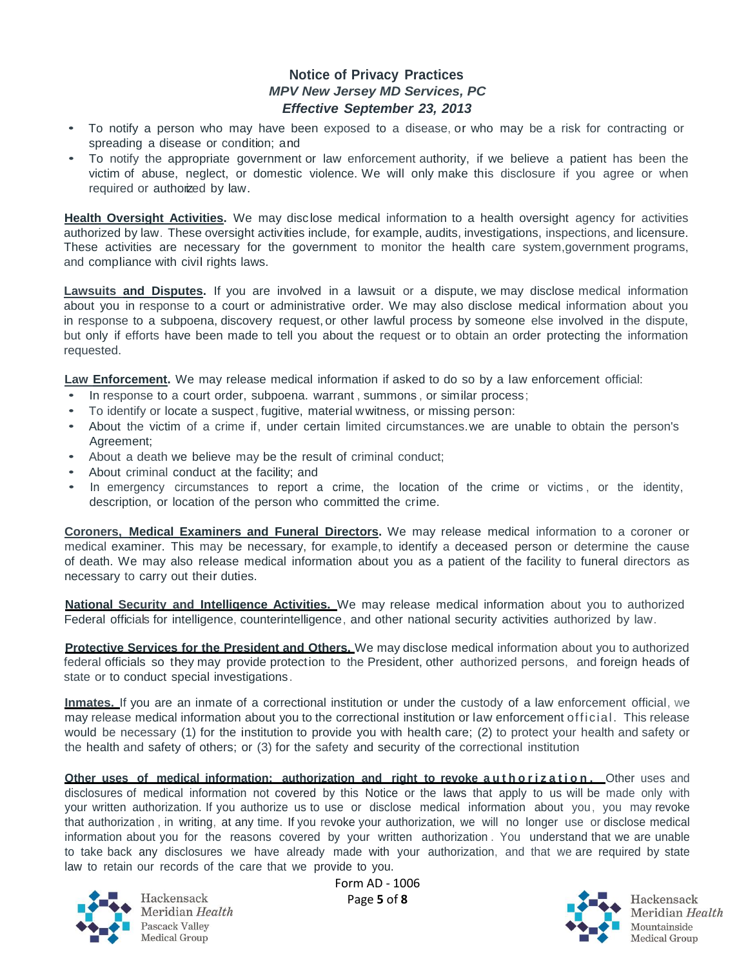- To notify a person who may have been exposed to a disease, or who may be a risk for contracting or spreading a disease or condition; and
- To notify the appropriate government or law enforcement authority, if we believe a patient has been the victim of abuse, neglect, or domestic violence. We will only make this disclosure if you agree or when required or authorized by law.

**Health Oversight Activities.** We may disclose medical information to a health oversight agency for activities authorized by law. These oversight activities include, for example, audits, investigations, inspections, and licensure. These activities are necessary for the government to monitor the health care system, government programs, and compliance with civil rights laws.

**Lawsuits and Disputes.** If you are involved in a lawsuit or a dispute, we may disclose medical information about you in response to a court or administrative order. We may also disclose medical information about you in response to a subpoena, discovery request, or other lawful process by someone else involved in the dispute, but only if efforts have been made to tell you about the request or to obtain an order protecting the information requested.

**Law Enforcement.** We may release medical information if asked to do so by a law enforcement official:

- In response to a court order, subpoena. warrant, summons, or similar process;
- To identify or locate a suspect, fugitive, material wwitness, or missing person:
- About the victim of a crime if, under certain limited circumstances. we are unable to obtain the person's Agreement;
- About a death we believe may be the result of criminal conduct;
- About criminal conduct at the facility; and
- In emergency circumstances to report a crime, the location of the crime or victims, or the identity, description, or location of the person who committed the crime.

**Coroners, Medical Examiners and Funeral Directors.** We may release medical information to a coroner or medical examiner. This may be necessary, for example,to identify a deceased person or determine the cause of death. We may also release medical information about you as a patient of the facility to funeral directors as necessary to carry out their duties.

**National Security and Intelligence Activities.** We may release medical information about you to authorized Federal officials for intelligence, counterintelligence, and other national security activities authorized by law.

**Protective Services for the President and Others.** We may disclose medical information about you to authorized federal officials so they may provide protection to the President, other authorized persons, and foreign heads of state or to conduct special investigations.

**Inmates.** If you are an inmate of a correctional institution or under the custody of a law enforcement official, we may release medical information about you to the correctional institution or law enforcement official. This release would be necessary (1) for the institution to provide you with health care; (2) to protect your health and safety or the health and safety of others; or (3) for the safety and security of the correctional institution

**Other uses of medical information: authorization and right to revoke a uthorization. Other uses and** disclosures of medical information not covered by this Notice or the laws that apply to us will be made only with your written authorization. If you authorize us to use or disclose medical information about you, you may revoke that authorization , in writing, at any time. If you revoke your authorization, we will no longer use or disclose medical information about you for the reasons covered by your written authorization . You understand that we are unable to take back any disclosures we have already made with your authorization, and that we are required by state law to retain our records of the care that we provide to you.



Hackensack Meridian Health Pascack Valley Medical Group

Form AD - 1006

Page **5** of **8**

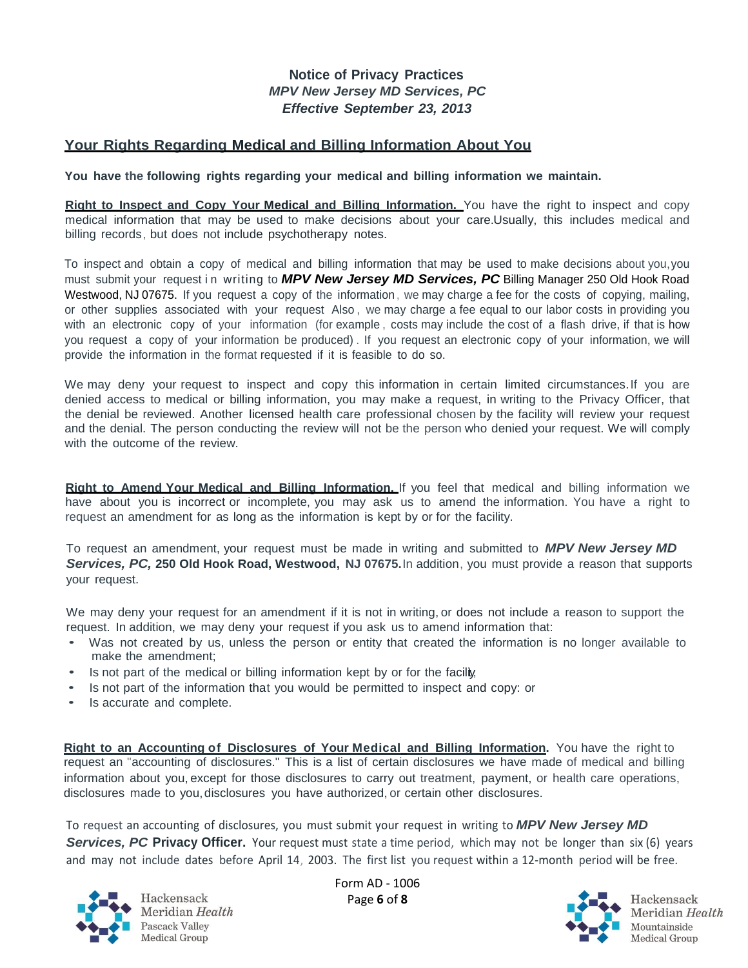## **Your Rights Regarding Medical and Billing Information About You**

**You have the following rights regarding your medical and billing information we maintain.**

**Right to Inspect and Copy Your Medical and Billing Information.** You have the right to inspect and copy medical information that may be used to make decisions about your care. Usually, this includes medical and billing records, but does not include psychotherapy notes.

To inspect and obtain a copy of medical and billing information that may be used to make decisions about you,you must submit your request i n writing to *MPV New Jersey MD Services, PC* Billing Manager 250 Old Hook Road Westwood, NJ 07675. If you request a copy of the information, we may charge a fee for the costs of copying, mailing, or other supplies associated with your request Also , we may charge a fee equal to our labor costs in providing you with an electronic copy of your information (for example, costs may include the cost of a flash drive, if that is how you request a copy of your information be produced) . If you request an electronic copy of your information, we will provide the information in the format requested if it is feasible to do so.

We may deny your request to inspect and copy this information in certain limited circumstances. If you are denied access to medical or billing information, you may make a request, in writing to the Privacy Officer, that the denial be reviewed. Another licensed health care professional chosen by the facility will review your request and the denial. The person conducting the review will not be the person who denied your request. We will comply with the outcome of the review.

**Right to Amend Your Medical and Billing Information.** If you feel that medical and billing information we have about you is incorrect or incomplete, you may ask us to amend the information. You have a right to request an amendment for as long as the information is kept by or for the facility.

To request an amendment, your request must be made in writing and submitted to *MPV New Jersey MD Services, PC,* **250 Old Hook Road, Westwood, NJ 07675.** In addition, you must provide a reason that supports your request.

We may deny your request for an amendment if it is not in writing, or does not include a reason to support the request. In addition, we may deny your request if you ask us to amend information that:

- Was not created by us, unless the person or entity that created the information is no longer available to make the amendment;
- Is not part of the medical or billing information kept by or for the facily,
- Is not part of the information that you would be permitted to inspect and copy: or
- Is accurate and complete.

**Right to an Accounting of Disclosures of Your Medical and Billing Information.** You have the right to request an "accounting of disclosures." This is a list of certain disclosures we have made of medical and billing information about you, except for those disclosures to carry out treatment, payment, or health care operations, disclosures made to you,disclosures you have authorized, or certain other disclosures.

To request an accounting of disclosures, you must submit your request in writing to *MPV New Jersey MD*  **Services, PC Privacy Officer.** Your request must state a time period, which may not be longer than six (6) years and may not include dates before April 14, 2003. The first list you request within a 12-month period will be free.



Hackensack Meridian Health Pascack Valley Medical Group

Form AD - 1006 Page **6** of **8**

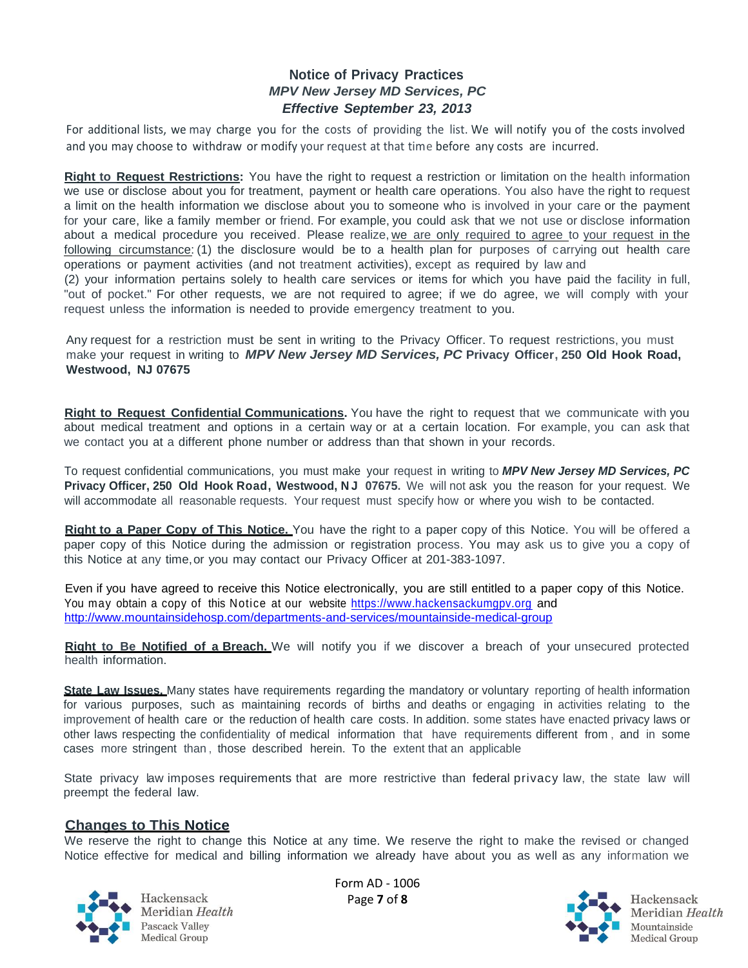For additional lists, we may charge you for the costs of providing the list. We will notify you of the costs involved and you may choose to withdraw or modify your request at that time before any costs are incurred.

**Right to Request Restrictions:** You have the right to request a restriction or limitation on the health information we use or disclose about you for treatment, payment or health care operations. You also have the right to request a limit on the health information we disclose about you to someone who is involved in your care or the payment for your care, like a family member or friend. For example, you could ask that we not use or disclose information about a medical procedure you received. Please realize, we are only required to agree to your request in the following circumstance: (1) the disclosure would be to a health plan for purposes of carrying out health care operations or payment activities (and not treatment activities), except as required by law and

(2) your information pertains solely to health care services or items for which you have paid the facility in full, "out of pocket." For other requests, we are not required to agree; if we do agree, we will comply with your request unless the information is needed to provide emergency treatment to you.

Any request for a restriction must be sent in writing to the Privacy Officer. To request restrictions, you must make your request in writing to *MPV New Jersey MD Services, PC* **Privacy Officer, 250 Old Hook Road, Westwood, NJ 07675**

**Right to Request Confidential Communications.** You have the right to request that we communicate with you about medical treatment and options in a certain way or at a certain location. For example, you can ask that we contact you at a different phone number or address than that shown in your records.

To request confidential communications, you must make your request in writing to *MPV New Jersey MD Services, PC* **Privacy Officer, 250 Old Hook Road, Westwood, N J 07675.** We will not ask you the reason for your request. We will accommodate all reasonable requests. Your request must specify how or where you wish to be contacted.

**Right to a Paper Copy of This Notice.** You have the right to a paper copy of this Notice. You will be offered a paper copy of this Notice during the admission or registration process. You may ask us to give you a copy of this Notice at any time,or you may contact our Privacy Officer at 201-383-1097.

Even if you have agreed to receive this Notice electronically, you are still entitled to a paper copy of this Notice. You may obtain a copy of this Notice at our website https://www.hackensackumgpy.org and <http://www.mountainsidehosp.com/departments-and-services/mountainside-medical-group>

**Right to Be Notified of a Breach.** We will notify you if we discover a breach of your unsecured protected health information.

**State Law Issues.** Many states have requirements regarding the mandatory or voluntary reporting of health information for various purposes, such as maintaining records of births and deaths or engaging in activities relating to the improvement of health care or the reduction of health care costs. In addition. some states have enacted privacy laws or other laws respecting the confidentiality of medical information that have requirements different from , and in some cases more stringent than , those described herein. To the extent that an applicable

State privacy law imposes requirements that are more restrictive than federal privacy law, the state law will preempt the federal law.

#### **Changes to This Notice**

We reserve the right to change this Notice at any time. We reserve the right to make the revised or changed Notice effective for medical and billing information we already have about you as well as any information we



Hackensack Meridian Health Pascack Valley Medical Group

Form AD - 1006 Page **7** of **8**